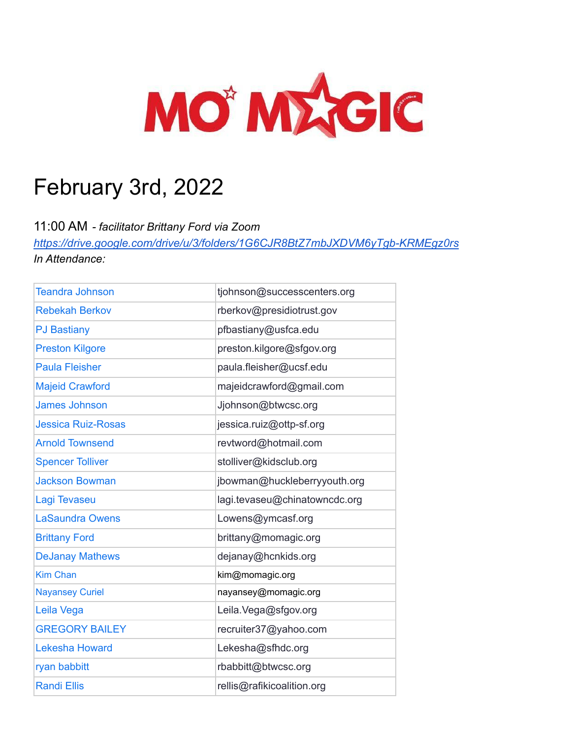

# February 3rd, 2022

11:00 AM *- facilitator Brittany Ford via Zoom*

*<https://drive.google.com/drive/u/3/folders/1G6CJR8BtZ7mbJXDVM6yTgb-KRMEgz0rs> In Attendance:*

| <b>Teandra Johnson</b>    | tjohnson@successcenters.org   |
|---------------------------|-------------------------------|
| <b>Rebekah Berkov</b>     | rberkov@presidiotrust.gov     |
| <b>PJ Bastiany</b>        | pfbastiany@usfca.edu          |
| <b>Preston Kilgore</b>    | preston.kilgore@sfgov.org     |
| <b>Paula Fleisher</b>     | paula.fleisher@ucsf.edu       |
| <b>Majeid Crawford</b>    | majeidcrawford@gmail.com      |
| <b>James Johnson</b>      | Jjohnson@btwcsc.org           |
| <b>Jessica Ruiz-Rosas</b> | jessica.ruiz@ottp-sf.org      |
| <b>Arnold Townsend</b>    | revtword@hotmail.com          |
| <b>Spencer Tolliver</b>   | stolliver@kidsclub.org        |
| <b>Jackson Bowman</b>     | jbowman@huckleberryyouth.org  |
| Lagi Tevaseu              | lagi.tevaseu@chinatowncdc.org |
| <b>LaSaundra Owens</b>    | Lowens@ymcasf.org             |
| <b>Brittany Ford</b>      | brittany@momagic.org          |
| <b>DeJanay Mathews</b>    | dejanay@hcnkids.org           |
| <b>Kim Chan</b>           | kim@momagic.org               |
| <b>Nayansey Curiel</b>    | nayansey@momagic.org          |
| Leila Vega                | Leila. Vega@sfgov.org         |
| <b>GREGORY BAILEY</b>     | recruiter37@yahoo.com         |
| <b>Lekesha Howard</b>     | Lekesha@sfhdc.org             |
| ryan babbitt              | rbabbitt@btwcsc.org           |
| <b>Randi Ellis</b>        | rellis@rafikicoalition.org    |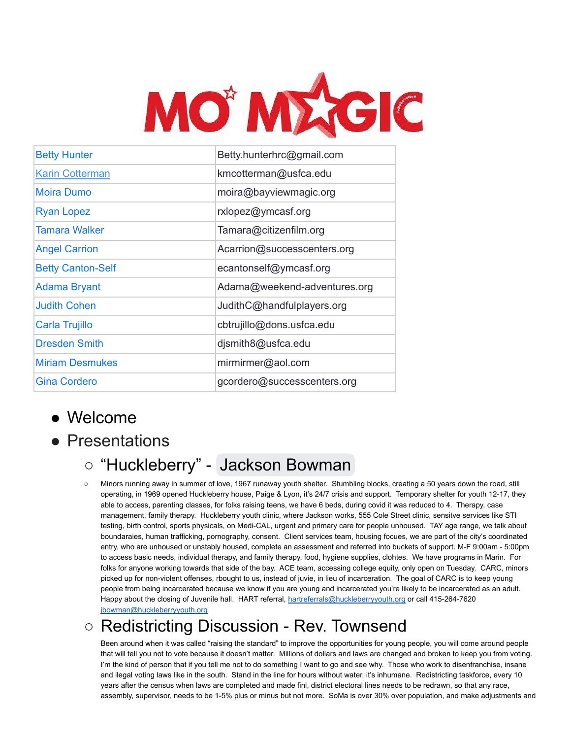

| <b>Betty Hunter</b>      | Betty.hunterhrc@gmail.com    |
|--------------------------|------------------------------|
| <b>Karin Cotterman</b>   | kmcotterman@usfca.edu        |
| <b>Moira Dumo</b>        | moira@bayviewmagic.org       |
| <b>Ryan Lopez</b>        | rxlopez@ymcasf.org           |
| Tamara Walker            | Tamara@citizenfilm.org       |
| <b>Angel Carrion</b>     | Acarrion@successcenters.org  |
| <b>Betty Canton-Self</b> | ecantonself@ymcasf.org       |
| Adama Bryant             | Adama@weekend-adventures.org |
| <b>Judith Cohen</b>      | JudithC@handfulplayers.org   |
| Carla Trujillo           | cbtrujillo@dons.usfca.edu    |
| <b>Dresden Smith</b>     | djsmith8@usfca.edu           |
| <b>Miriam Desmukes</b>   | mirmirmer@aol.com            |
| <b>Gina Cordero</b>      | gcordero@successcenters.org  |

### ● Welcome

● Presentations

# ○ "Huckleberry" - [Jackson Bowman](mailto:jbowman@huckleberryyouth.org)

○ Minors running away in summer of love, 1967 runaway youth shelter. Stumbling blocks, creating a 50 years down the road, still operating, in 1969 opened Huckleberry house, Paige & Lyon, it's 24/7 crisis and support. Temporary shelter for youth 12-17, they able to access, parenting classes, for folks raising teens, we have 6 beds, during covid it was reduced to 4. Therapy, case management, family therapy. Huckleberry youth clinic, where Jackson works, 555 Cole Street clinic, sensitve services like STI testing, birth control, sports physicals, on Medi-CAL, urgent and primary care for people unhoused. TAY age range, we talk about boundaraies, human trafficking, pornography, consent. Client services team, housing focues, we are part of the city's coordinated entry, who are unhoused or unstably housed, complete an assessment and referred into buckets of support. M-F 9:00am - 5:00pm to access basic needs, individual therapy, and family therapy, food, hygiene supplies, clohtes. We have programs in Marin. For folks for anyone working towards that side of the bay. ACE team, accessing college equity, only open on Tuesday. CARC, minors picked up for non-violent offenses, rbought to us, instead of juvie, in lieu of incarceration. The goal of CARC is to keep young people from being incarcerated because we know if you are young and incarcerated you're likely to be incarcerated as an adult. Happy about the closing of Juvenile hall. HART referral, [hartreferrals@huckleberryyouth.org](mailto:hartreferrals@huckleberryyouth.org) or call 415-264-7620 [jbowman@huckleberryyouth.org](mailto:jbowman@huckleberryyouth.org)

# ○ Redistricting Discussion - Rev. Townsend

Been around when it was called "raising the standard" to improve the opportunities for young people, you will come around people that will tell you not to vote because it doesn't matter. Millions of dollars and laws are changed and broken to keep you from voting. I'm the kind of person that if you tell me not to do something I want to go and see why. Those who work to disenfranchise, insane and ilegal voting laws like in the south. Stand in the line for hours without water, it's inhumane. Redistricting taskforce, every 10 years after the census when laws are completed and made finl, district electoral lines needs to be redrawn, so that any race, assembly, supervisor, needs to be 1-5% plus or minus but not more. SoMa is over 30% over population, and make adjustments and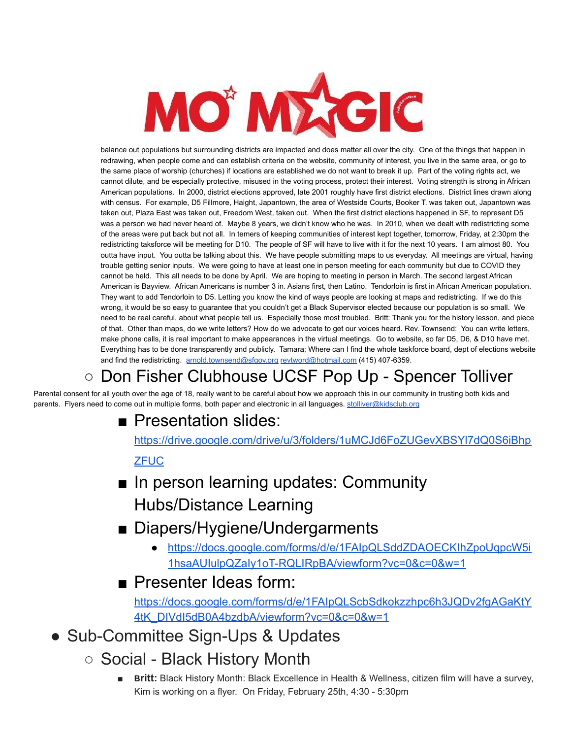

balance out populations but surrounding districts are impacted and does matter all over the city. One of the things that happen in redrawing, when people come and can establish criteria on the website, community of interest, you live in the same area, or go to the same place of worship (churches) if locations are established we do not want to break it up. Part of the voting rights act, we cannot dilute, and be especially protective, misused in the voting process, protect their interest. Voting strength is strong in African American populations. In 2000, district elections approved, late 2001 roughly have first district elections. District lines drawn along with census. For example, D5 Fillmore, Haight, Japantown, the area of Westside Courts, Booker T. was taken out, Japantown was taken out, Plaza East was taken out, Freedom West, taken out. When the first district elections happened in SF, to represent D5 was a person we had never heard of. Maybe 8 years, we didn't know who he was. In 2010, when we dealt with redistricting some of the areas were put back but not all. In temers of keeping communities of interest kept together, tomorrow, Friday, at 2:30pm the redistricting taksforce will be meeting for D10. The people of SF will have to live with it for the next 10 years. I am almost 80. You outta have input. You outta be talking about this. We have people submitting maps to us everyday. All meetings are virtual, having trouble getting senior inputs. We were going to have at least one in person meeting for each community but due to COVID they cannot be held. This all needs to be done by April. We are hoping to meeting in person in March. The second largest African American is Bayview. African Americans is number 3 in. Asians first, then Latino. Tendorloin is first in African American population. They want to add Tendorloin to D5. Letting you know the kind of ways people are looking at maps and redistricting. If we do this wrong, it would be so easy to guarantee that you couldn't get a Black Supervisor elected because our population is so small. We need to be real careful, about what people tell us. Especially those most troubled. Britt: Thank you for the history lesson, and piece of that. Other than maps, do we write letters? How do we advocate to get our voices heard. Rev. Townsend: You can write letters, make phone calls, it is real important to make appearances in the virtual meetings. Go to website, so far D5, D6, & D10 have met. Everything has to be done transparently and publicly. Tamara: Where can I find the whole taskforce board, dept of elections website and find the redistricting. [arnold.townsend@sfgov.org](mailto:arnold.townsend@sfgov.org) [revtword@hotmail.com](mailto:revtword@hotmail.com) (415) 407-6359.

# ○ Don Fisher Clubhouse UCSF Pop Up - Spencer Tolliver

Parental consent for all youth over the age of 18, really want to be careful about how we approach this in our community in trusting both kids and parents. Flyers need to come out in multiple forms, both paper and electronic in all languages. [stolliver@kidsclub.org](mailto:stolliver@kidsclub.org)

#### ■ Presentation slides:

[https://drive.google.com/drive/u/3/folders/1uMCJd6FoZUGevXBSYl7dQ0S6iBhp](https://drive.google.com/drive/u/3/folders/1uMCJd6FoZUGevXBSYl7dQ0S6iBhpZFUC)

#### **[ZFUC](https://drive.google.com/drive/u/3/folders/1uMCJd6FoZUGevXBSYl7dQ0S6iBhpZFUC)**

- In person learning updates: Community Hubs/Distance Learning
- Diapers/Hygiene/Undergarments
	- [https://docs.google.com/forms/d/e/1FAIpQLSddZDAOECKIhZpoUqpcW5i](https://docs.google.com/forms/d/e/1FAIpQLSddZDAOECKIhZpoUqpcW5i1hsaAUIulpQZaIy1oT-RQLIRpBA/viewform?vc=0&c=0&w=1) [1hsaAUIulpQZaIy1oT-RQLIRpBA/viewform?vc=0&c=0&w=1](https://docs.google.com/forms/d/e/1FAIpQLSddZDAOECKIhZpoUqpcW5i1hsaAUIulpQZaIy1oT-RQLIRpBA/viewform?vc=0&c=0&w=1)
- Presenter Ideas form:

[https://docs.google.com/forms/d/e/1FAIpQLScbSdkokzzhpc6h3JQDv2fgAGaKtY](https://docs.google.com/forms/d/e/1FAIpQLScbSdkokzzhpc6h3JQDv2fgAGaKtY4tK_DIVdI5dB0A4bzdbA/viewform?vc=0&c=0&w=1) [4tK\\_DIVdI5dB0A4bzdbA/viewform?vc=0&c=0&w=1](https://docs.google.com/forms/d/e/1FAIpQLScbSdkokzzhpc6h3JQDv2fgAGaKtY4tK_DIVdI5dB0A4bzdbA/viewform?vc=0&c=0&w=1)

- Sub-Committee Sign-Ups & Updates
	- Social Black History Month
		- **Britt:** Black History Month: Black Excellence in Health & Wellness, citizen film will have a survey, Kim is working on a flyer. On Friday, February 25th, 4:30 - 5:30pm